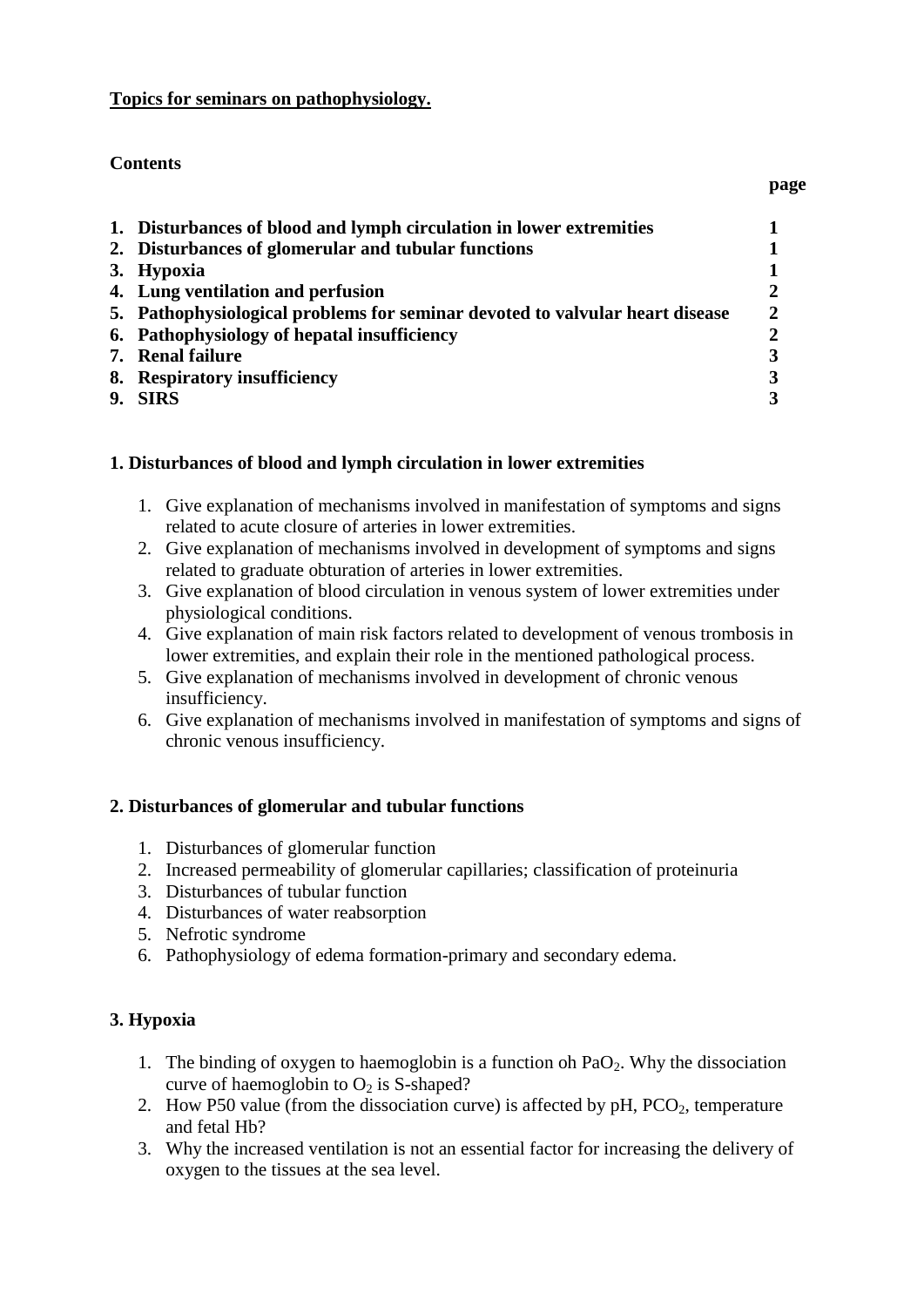#### **Topics for seminars on pathophysiology.**

## **Contents**

|                                                                              | page |
|------------------------------------------------------------------------------|------|
| 1. Disturbances of blood and lymph circulation in lower extremities          |      |
| 2. Disturbances of glomerular and tubular functions                          |      |
| 3. Hypoxia                                                                   |      |
| 4. Lung ventilation and perfusion                                            |      |
| 5. Pathophysiological problems for seminar devoted to valvular heart disease |      |
| 6. Pathophysiology of hepatal insufficiency                                  |      |
| 7. Renal failure                                                             |      |
| 8. Respiratory insufficiency                                                 |      |
| 9. SIRS                                                                      |      |

# **1. Disturbances of blood and lymph circulation in lower extremities**

- 1. Give explanation of mechanisms involved in manifestation of symptoms and signs related to acute closure of arteries in lower extremities.
- 2. Give explanation of mechanisms involved in development of symptoms and signs related to graduate obturation of arteries in lower extremities.
- 3. Give explanation of blood circulation in venous system of lower extremities under physiological conditions.
- 4. Give explanation of main risk factors related to development of venous trombosis in lower extremities, and explain their role in the mentioned pathological process.
- 5. Give explanation of mechanisms involved in development of chronic venous insufficiency.
- 6. Give explanation of mechanisms involved in manifestation of symptoms and signs of chronic venous insufficiency.

# <span id="page-0-0"></span>**2. Disturbances of glomerular and tubular functions**

- 1. Disturbances of glomerular function
- 2. Increased permeability of glomerular capillaries; classification of proteinuria
- 3. Disturbances of tubular function
- 4. Disturbances of water reabsorption
- 5. Nefrotic syndrome
- 6. Pathophysiology of edema formation-primary and secondary edema.

# <span id="page-0-1"></span>**3. Hypoxia**

- 1. The binding of oxygen to haemoglobin is a function oh  $PaO<sub>2</sub>$ . Why the dissociation curve of haemoglobin to  $O<sub>2</sub>$  is S-shaped?
- 2. How P50 value (from the dissociation curve) is affected by  $pH$ , PCO<sub>2</sub>, temperature and fetal Hb?
- 3. Why the increased ventilation is not an essential factor for increasing the delivery of oxygen to the tissues at the sea level.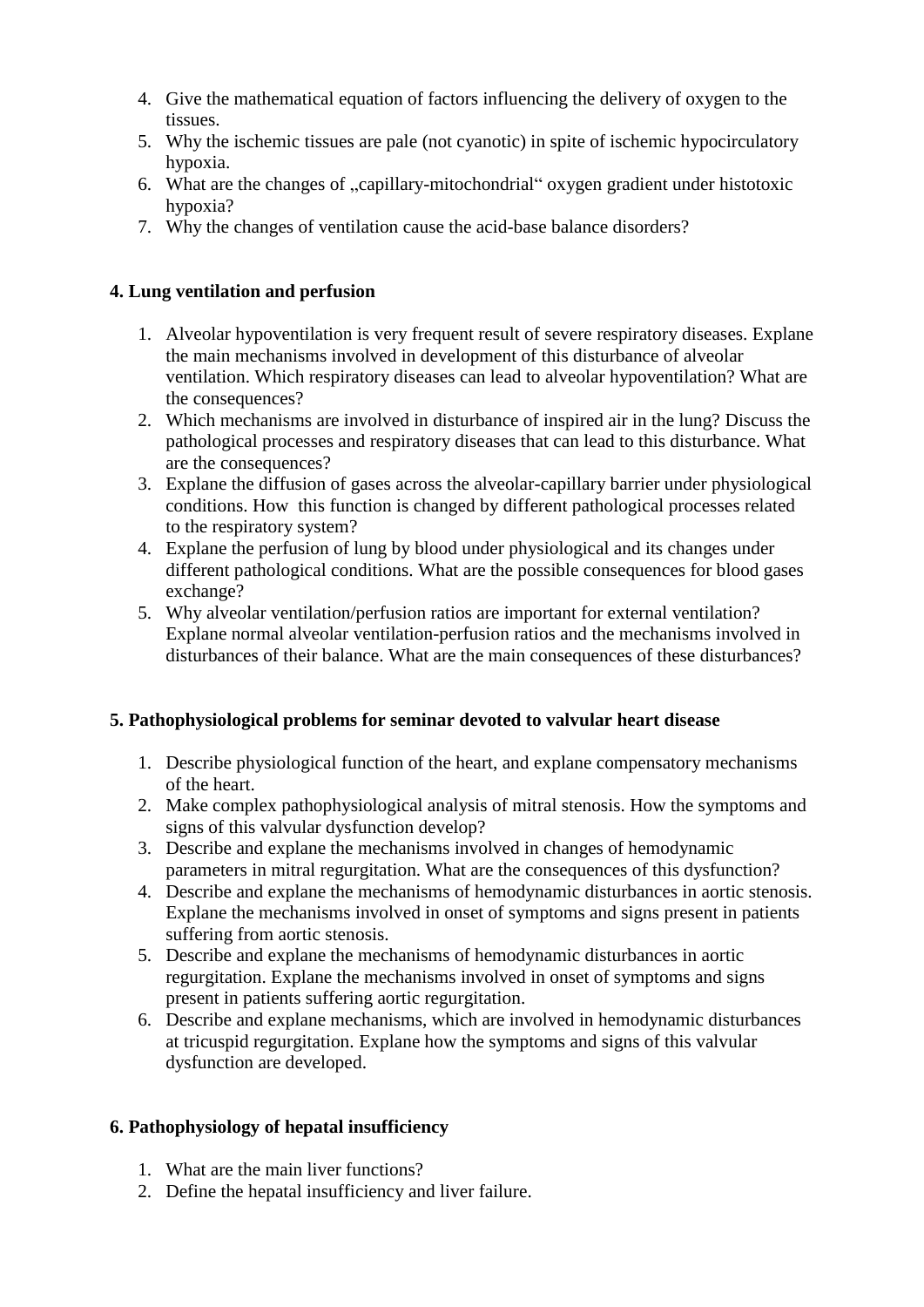- 4. Give the mathematical equation of factors influencing the delivery of oxygen to the tissues.
- 5. Why the ischemic tissues are pale (not cyanotic) in spite of ischemic hypocirculatory hypoxia.
- 6. What are the changes of "capillary-mitochondrial" oxygen gradient under histotoxic hypoxia?
- 7. Why the changes of ventilation cause the acid-base balance disorders?

## <span id="page-1-0"></span>**4. Lung ventilation and perfusion**

- 1. Alveolar hypoventilation is very frequent result of severe respiratory diseases. Explane the main mechanisms involved in development of this disturbance of alveolar ventilation. Which respiratory diseases can lead to alveolar hypoventilation? What are the consequences?
- 2. Which mechanisms are involved in disturbance of inspired air in the lung? Discuss the pathological processes and respiratory diseases that can lead to this disturbance. What are the consequences?
- 3. Explane the diffusion of gases across the alveolar-capillary barrier under physiological conditions. How this function is changed by different pathological processes related to the respiratory system?
- 4. Explane the perfusion of lung by blood under physiological and its changes under different pathological conditions. What are the possible consequences for blood gases exchange?
- 5. Why alveolar ventilation/perfusion ratios are important for external ventilation? Explane normal alveolar ventilation-perfusion ratios and the mechanisms involved in disturbances of their balance. What are the main consequences of these disturbances?

### <span id="page-1-1"></span>**5. Pathophysiological problems for seminar devoted to valvular heart disease**

- 1. Describe physiological function of the heart, and explane compensatory mechanisms of the heart.
- 2. Make complex pathophysiological analysis of mitral stenosis. How the symptoms and signs of this valvular dysfunction develop?
- 3. Describe and explane the mechanisms involved in changes of hemodynamic parameters in mitral regurgitation. What are the consequences of this dysfunction?
- 4. Describe and explane the mechanisms of hemodynamic disturbances in aortic stenosis. Explane the mechanisms involved in onset of symptoms and signs present in patients suffering from aortic stenosis.
- 5. Describe and explane the mechanisms of hemodynamic disturbances in aortic regurgitation. Explane the mechanisms involved in onset of symptoms and signs present in patients suffering aortic regurgitation.
- 6. Describe and explane mechanisms, which are involved in hemodynamic disturbances at tricuspid regurgitation. Explane how the symptoms and signs of this valvular dysfunction are developed.

### <span id="page-1-2"></span>**6. Pathophysiology of hepatal insufficiency**

- 1. What are the main liver functions?
- 2. Define the hepatal insufficiency and liver failure.